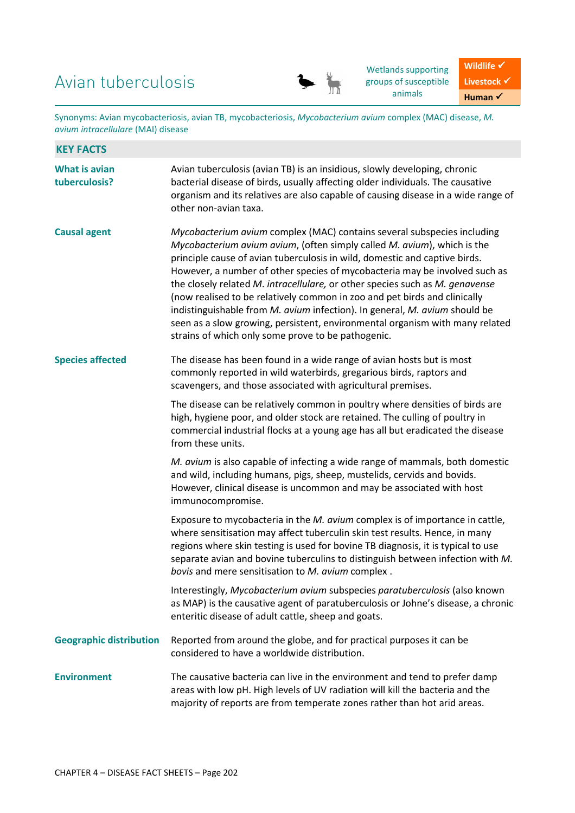# Avian tuberculosis



Wetlands supporting groups of susceptible animals

Wildlife  $\checkmark$ Livestock  $\checkmark$ **Human** ✓

Synonyms: Avian mycobacteriosis, avian TB, mycobacteriosis, *Mycobacterium avium* complex (MAC) disease, *M. avium intracellulare* (MAI) disease

| <b>KEY FACTS</b>                      |                                                                                                                                                                                                                                                                                                                                                                                                                                                                                                                                                                                                                                                                                                 |  |
|---------------------------------------|-------------------------------------------------------------------------------------------------------------------------------------------------------------------------------------------------------------------------------------------------------------------------------------------------------------------------------------------------------------------------------------------------------------------------------------------------------------------------------------------------------------------------------------------------------------------------------------------------------------------------------------------------------------------------------------------------|--|
| <b>What is avian</b><br>tuberculosis? | Avian tuberculosis (avian TB) is an insidious, slowly developing, chronic<br>bacterial disease of birds, usually affecting older individuals. The causative<br>organism and its relatives are also capable of causing disease in a wide range of<br>other non-avian taxa.                                                                                                                                                                                                                                                                                                                                                                                                                       |  |
| <b>Causal agent</b>                   | Mycobacterium avium complex (MAC) contains several subspecies including<br>Mycobacterium avium avium, (often simply called M. avium), which is the<br>principle cause of avian tuberculosis in wild, domestic and captive birds.<br>However, a number of other species of mycobacteria may be involved such as<br>the closely related M. intracellulare, or other species such as M. genavense<br>(now realised to be relatively common in zoo and pet birds and clinically<br>indistinguishable from M. avium infection). In general, M. avium should be<br>seen as a slow growing, persistent, environmental organism with many related<br>strains of which only some prove to be pathogenic. |  |
| <b>Species affected</b>               | The disease has been found in a wide range of avian hosts but is most<br>commonly reported in wild waterbirds, gregarious birds, raptors and<br>scavengers, and those associated with agricultural premises.                                                                                                                                                                                                                                                                                                                                                                                                                                                                                    |  |
|                                       | The disease can be relatively common in poultry where densities of birds are<br>high, hygiene poor, and older stock are retained. The culling of poultry in<br>commercial industrial flocks at a young age has all but eradicated the disease<br>from these units.                                                                                                                                                                                                                                                                                                                                                                                                                              |  |
|                                       | M. avium is also capable of infecting a wide range of mammals, both domestic<br>and wild, including humans, pigs, sheep, mustelids, cervids and bovids.<br>However, clinical disease is uncommon and may be associated with host<br>immunocompromise.                                                                                                                                                                                                                                                                                                                                                                                                                                           |  |
|                                       | Exposure to mycobacteria in the M. avium complex is of importance in cattle,<br>where sensitisation may affect tuberculin skin test results. Hence, in many<br>regions where skin testing is used for bovine TB diagnosis, it is typical to use<br>separate avian and bovine tuberculins to distinguish between infection with M.<br>bovis and mere sensitisation to M. avium complex.                                                                                                                                                                                                                                                                                                          |  |
|                                       | Interestingly, Mycobacterium avium subspecies paratuberculosis (also known<br>as MAP) is the causative agent of paratuberculosis or Johne's disease, a chronic<br>enteritic disease of adult cattle, sheep and goats.                                                                                                                                                                                                                                                                                                                                                                                                                                                                           |  |
| <b>Geographic distribution</b>        | Reported from around the globe, and for practical purposes it can be<br>considered to have a worldwide distribution.                                                                                                                                                                                                                                                                                                                                                                                                                                                                                                                                                                            |  |
| <b>Environment</b>                    | The causative bacteria can live in the environment and tend to prefer damp<br>areas with low pH. High levels of UV radiation will kill the bacteria and the<br>majority of reports are from temperate zones rather than hot arid areas.                                                                                                                                                                                                                                                                                                                                                                                                                                                         |  |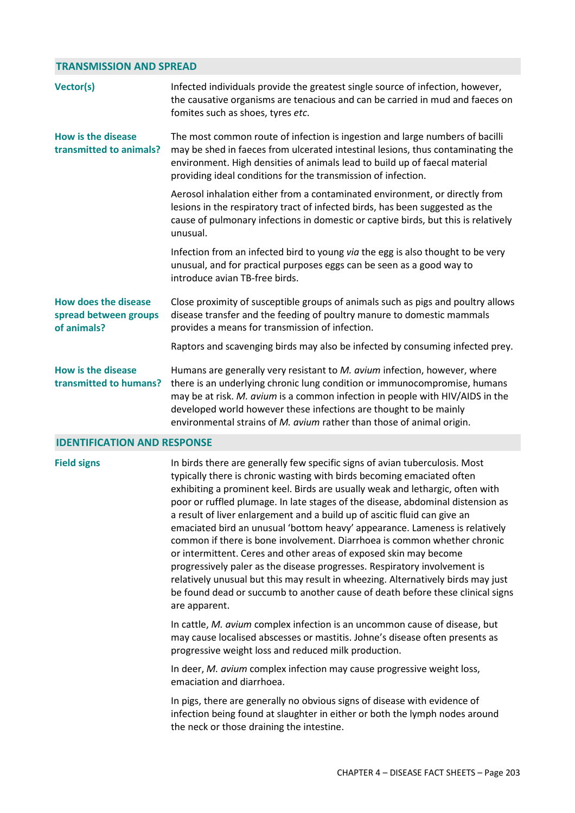## **TRANSMISSION AND SPREAD**

| Vector(s)                                                           | Infected individuals provide the greatest single source of infection, however,<br>the causative organisms are tenacious and can be carried in mud and faeces on<br>fomites such as shoes, tyres etc.                                                                                                                                                                                  |
|---------------------------------------------------------------------|---------------------------------------------------------------------------------------------------------------------------------------------------------------------------------------------------------------------------------------------------------------------------------------------------------------------------------------------------------------------------------------|
| How is the disease<br>transmitted to animals?                       | The most common route of infection is ingestion and large numbers of bacilli<br>may be shed in faeces from ulcerated intestinal lesions, thus contaminating the<br>environment. High densities of animals lead to build up of faecal material<br>providing ideal conditions for the transmission of infection.                                                                        |
|                                                                     | Aerosol inhalation either from a contaminated environment, or directly from<br>lesions in the respiratory tract of infected birds, has been suggested as the<br>cause of pulmonary infections in domestic or captive birds, but this is relatively<br>unusual.                                                                                                                        |
|                                                                     | Infection from an infected bird to young via the egg is also thought to be very<br>unusual, and for practical purposes eggs can be seen as a good way to<br>introduce avian TB-free birds.                                                                                                                                                                                            |
| <b>How does the disease</b><br>spread between groups<br>of animals? | Close proximity of susceptible groups of animals such as pigs and poultry allows<br>disease transfer and the feeding of poultry manure to domestic mammals<br>provides a means for transmission of infection.                                                                                                                                                                         |
|                                                                     | Raptors and scavenging birds may also be infected by consuming infected prey.                                                                                                                                                                                                                                                                                                         |
| <b>How is the disease</b><br>transmitted to humans?                 | Humans are generally very resistant to M. avium infection, however, where<br>there is an underlying chronic lung condition or immunocompromise, humans<br>may be at risk. M. avium is a common infection in people with HIV/AIDS in the<br>developed world however these infections are thought to be mainly<br>environmental strains of M. avium rather than those of animal origin. |

### **IDENTIFICATION AND RESPONSE**

**Field signs** In birds there are generally few specific signs of avian tuberculosis. Most typically there is chronic wasting with birds becoming emaciated often exhibiting a prominent keel. Birds are usually weak and lethargic, often with poor or ruffled plumage. In late stages of the disease, abdominal distension as a result of liver enlargement and a build up of ascitic fluid can give an emaciated bird an unusual 'bottom heavy' appearance. Lameness is relatively common if there is bone involvement. Diarrhoea is common whether chronic or intermittent. Ceres and other areas of exposed skin may become progressively paler as the disease progresses. Respiratory involvement is relatively unusual but this may result in wheezing. Alternatively birds may just be found dead or succumb to another cause of death before these clinical signs are apparent.

> In cattle, *M. avium* complex infection is an uncommon cause of disease, but may cause localised abscesses or mastitis. Johne's disease often presents as progressive weight loss and reduced milk production.

In deer, *M. avium* complex infection may cause progressive weight loss, emaciation and diarrhoea.

In pigs, there are generally no obvious signs of disease with evidence of infection being found at slaughter in either or both the lymph nodes around the neck or those draining the intestine.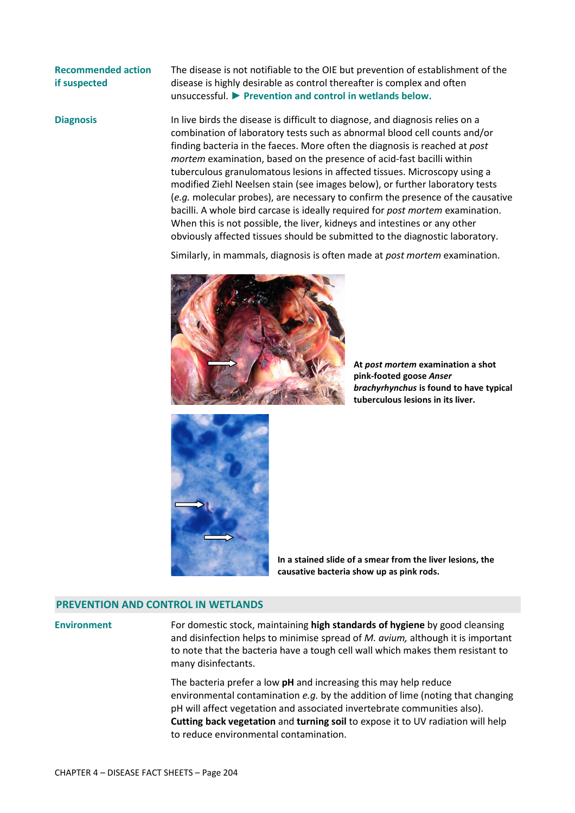# **Recommended action if suspected**

The disease is not notifiable to the OIE but prevention of establishment of the disease is highly desirable as control thereafter is complex and often unsuccessful. **► Prevention and control in wetlands below.**

**Diagnosis** In live birds the disease is difficult to diagnose, and diagnosis relies on a combination of laboratory tests such as abnormal blood cell counts and/or finding bacteria in the faeces. More often the diagnosis is reached at *post mortem* examination, based on the presence of acid-fast bacilli within tuberculous granulomatous lesions in affected tissues. Microscopy using a modified Ziehl Neelsen stain (see images below), or further laboratory tests (*e.g.* molecular probes), are necessary to confirm the presence of the causative bacilli. A whole bird carcase is ideally required for *post mortem* examination. When this is not possible, the liver, kidneys and intestines or any other obviously affected tissues should be submitted to the diagnostic laboratory.

Similarly, in mammals, diagnosis is often made at *post mortem* examination.



**At** *post mortem* **examination a shot pink-footed goose** *Anser brachyrhynchus* **is found to have typical tuberculous lesions in its liver.** 



**In a stained slide of a smear from the liver lesions, the causative bacteria show up as pink rods.** 

#### **PREVENTION AND CONTROL IN WETLANDS**

**Environment** For domestic stock, maintaining **high standards of hygiene** by good cleansing and disinfection helps to minimise spread of *M. avium,* although it is important to note that the bacteria have a tough cell wall which makes them resistant to many disinfectants.

> The bacteria prefer a low **pH** and increasing this may help reduce environmental contamination *e.g.* by the addition of lime (noting that changing pH will affect vegetation and associated invertebrate communities also). **Cutting back vegetation** and **turning soil** to expose it to UV radiation will help to reduce environmental contamination.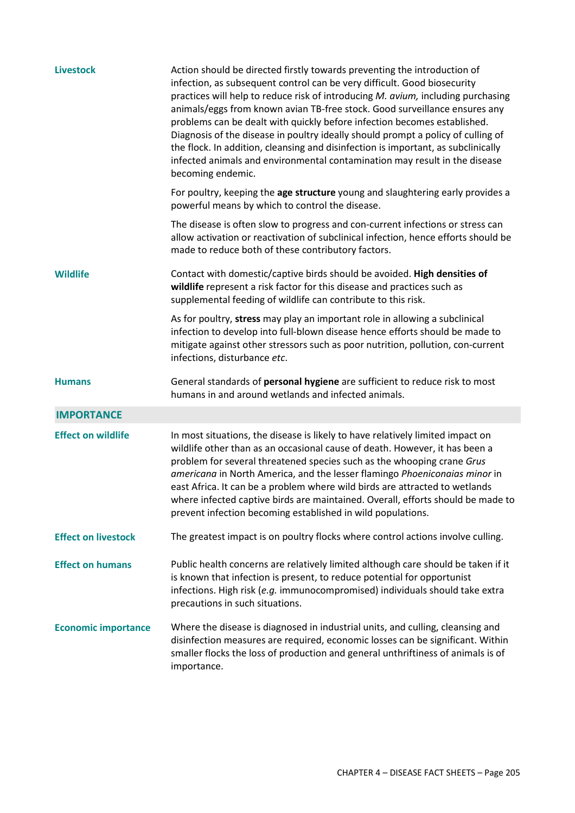| <b>Livestock</b>           | Action should be directed firstly towards preventing the introduction of<br>infection, as subsequent control can be very difficult. Good biosecurity<br>practices will help to reduce risk of introducing M. avium, including purchasing<br>animals/eggs from known avian TB-free stock. Good surveillance ensures any<br>problems can be dealt with quickly before infection becomes established.<br>Diagnosis of the disease in poultry ideally should prompt a policy of culling of<br>the flock. In addition, cleansing and disinfection is important, as subclinically<br>infected animals and environmental contamination may result in the disease<br>becoming endemic. |
|----------------------------|--------------------------------------------------------------------------------------------------------------------------------------------------------------------------------------------------------------------------------------------------------------------------------------------------------------------------------------------------------------------------------------------------------------------------------------------------------------------------------------------------------------------------------------------------------------------------------------------------------------------------------------------------------------------------------|
|                            | For poultry, keeping the age structure young and slaughtering early provides a<br>powerful means by which to control the disease.                                                                                                                                                                                                                                                                                                                                                                                                                                                                                                                                              |
|                            | The disease is often slow to progress and con-current infections or stress can<br>allow activation or reactivation of subclinical infection, hence efforts should be<br>made to reduce both of these contributory factors.                                                                                                                                                                                                                                                                                                                                                                                                                                                     |
| <b>Wildlife</b>            | Contact with domestic/captive birds should be avoided. High densities of<br>wildlife represent a risk factor for this disease and practices such as<br>supplemental feeding of wildlife can contribute to this risk.                                                                                                                                                                                                                                                                                                                                                                                                                                                           |
|                            | As for poultry, stress may play an important role in allowing a subclinical<br>infection to develop into full-blown disease hence efforts should be made to<br>mitigate against other stressors such as poor nutrition, pollution, con-current<br>infections, disturbance etc.                                                                                                                                                                                                                                                                                                                                                                                                 |
|                            |                                                                                                                                                                                                                                                                                                                                                                                                                                                                                                                                                                                                                                                                                |
| <b>Humans</b>              | General standards of personal hygiene are sufficient to reduce risk to most<br>humans in and around wetlands and infected animals.                                                                                                                                                                                                                                                                                                                                                                                                                                                                                                                                             |
| <b>IMPORTANCE</b>          |                                                                                                                                                                                                                                                                                                                                                                                                                                                                                                                                                                                                                                                                                |
| <b>Effect on wildlife</b>  | In most situations, the disease is likely to have relatively limited impact on<br>wildlife other than as an occasional cause of death. However, it has been a<br>problem for several threatened species such as the whooping crane Grus<br>americana in North America, and the lesser flamingo Phoeniconaias minor in<br>east Africa. It can be a problem where wild birds are attracted to wetlands<br>where infected captive birds are maintained. Overall, efforts should be made to<br>prevent infection becoming established in wild populations.                                                                                                                         |
| <b>Effect on livestock</b> | The greatest impact is on poultry flocks where control actions involve culling.                                                                                                                                                                                                                                                                                                                                                                                                                                                                                                                                                                                                |
| <b>Effect on humans</b>    | Public health concerns are relatively limited although care should be taken if it<br>is known that infection is present, to reduce potential for opportunist<br>infections. High risk (e.g. immunocompromised) individuals should take extra<br>precautions in such situations.                                                                                                                                                                                                                                                                                                                                                                                                |